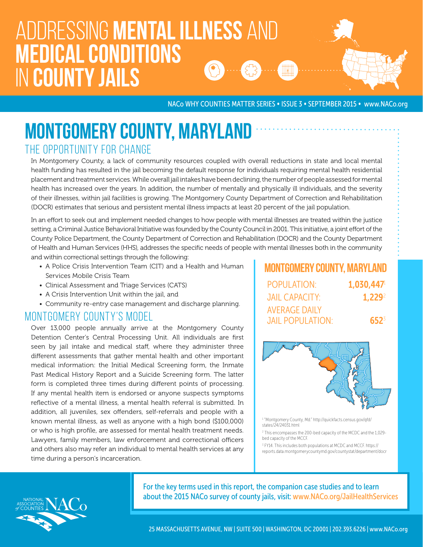# Addressing mental illness and medical conditions in county jails

NACo WHY COUNTIES MATTER SERIES • ISSUE 3 • SEPTEMBER 2015 • www.NACo.org

## MONTGOMERY COUNTY, MARYLAND THE OPPORTUNITY FOR CHANGE

In Montgomery County, a lack of community resources coupled with overall reductions in state and local mental health funding has resulted in the jail becoming the default response for individuals requiring mental health residential placement and treatment services. While overall jail intakes have been declining, the number of people assessed for mental health has increased over the years. In addition, the number of mentally and physically ill individuals, and the severity of their illnesses, within jail facilities is growing. The Montgomery County Department of Correction and Rehabilitation (DOCR) estimates that serious and persistent mental illness impacts at least 20 percent of the jail population.

In an effort to seek out and implement needed changes to how people with mental illnesses are treated within the justice setting, a Criminal Justice Behavioral Initiative was founded by the County Council in 2001. This initiative, a joint effort of the County Police Department, the County Department of Correction and Rehabilitation (DOCR) and the County Department of Health and Human Services (HHS), addresses the specific needs of people with mental illnesses both in the community and within correctional settings through the following:

- A Police Crisis Intervention Team (CIT) and a Health and Human Services Mobile Crisis Team
- Clinical Assessment and Triage Services (CATS)
- A Crisis Intervention Unit within the jail, and
- Community re-entry case management and discharge planning.

#### MONTGOMERY COUNTY'S MODEL

Over 13,000 people annually arrive at the Montgomery County Detention Center's Central Processing Unit. All individuals are first seen by jail intake and medical staff, where they administer three different assessments that gather mental health and other important medical information: the Initial Medical Screening form, the Inmate Past Medical History Report and a Suicide Screening form. The latter form is completed three times during different points of processing. If any mental health item is endorsed or anyone suspects symptoms reflective of a mental illness, a mental health referral is submitted. In addition, all juveniles, sex offenders, self-referrals and people with a known mental illness, as well as anyone with a high bond (\$100,000) or who is high profile, are assessed for mental health treatment needs. Lawyers, family members, law enforcement and correctional officers and others also may refer an individual to mental health services at any time during a person's incarceration.

|                    | <b>MONTGOMERY COUNTY, MARYLAND</b>              |
|--------------------|-------------------------------------------------|
| 1,030,447          | POPULATION:                                     |
| 1.229 <sup>2</sup> | <b>JAIL CAPACITY:</b>                           |
| $652^{3}$          | <b>AVERAGE DAILY</b><br><b>JAIL POPULATION:</b> |



1 "Montgomery County, Md." http://quickfacts.census.gov/qfd/ states/24/24031.html

2 This encompasses the 200-bed capacity of the MCDC and the 1,029 bed capacity of the MCCF.

<sup>3</sup> FY14. This includes both populations at MCDC and MCCF. https:// reports.data.montgomerycountymd.gov/countystat/department/docr



For the key terms used in this report, the companion case studies and to learn about the 2015 NACo survey of county jails, visit: www.NACo.org/JailHealthServices